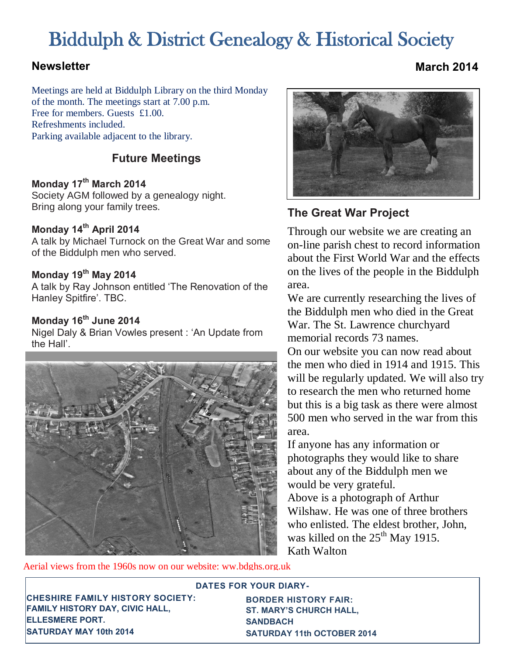# Biddulph & District Genealogy & Historical Society

Meetings are held at Biddulph Library on the third Monday of the month. The meetings start at 7.00 p.m. Free for members. Guests £1.00. Refreshments included. Parking available adjacent to the library.

## **Future Meetings**

#### **Monday 17th March 2014**

Society AGM followed by a genealogy night. Bring along your family trees.

### **Monday 14th April 2014**

A talk by Michael Turnock on the Great War and some of the Biddulph men who served.

### **Monday 19th May 2014**

A talk by Ray Johnson entitled 'The Renovation of the Hanley Spitfire'. TBC.

### **Monday 16th June 2014**

Nigel Daly & Brian Vowles present : 'An Update from the Hall'.



Aerial views from the 1960s now on our website: ww.bdghs.org.uk



## **The Great War Project**

Through our website we are creating an on-line parish chest to record information about the First World War and the effects on the lives of the people in the Biddulph area.

We are currently researching the lives of the Biddulph men who died in the Great War. The St. Lawrence churchyard memorial records 73 names.

On our website you can now read about the men who died in 1914 and 1915. This will be regularly updated. We will also try to research the men who returned home but this is a big task as there were almost 500 men who served in the war from this area.

If anyone has any information or photographs they would like to share about any of the Biddulph men we would be very grateful.

Above is a photograph of Arthur Wilshaw. He was one of three brothers who enlisted. The eldest brother, John, was killed on the  $25^{th}$  May 1915. Kath Walton

possible. Stay away from using jargon, and using jargon, acronyms, or  $\sim$ 

**CHESHIRE FAMILY HISTORY SOCIETY: FAMILY HISTORY DAY, CIVIC HALL, ELLESMERE PORT. SATURDAY MAY 10th 2014** 

**BORDER HISTORY FAIR:** ST. MARY'S CHURCH HALL, someone who has never heard of your company can **SATURDAY 11th OCTOBER 2014 SANDBACH** 

**DATES FOR YOUR DIARY-**

**Newsletter March 2014**